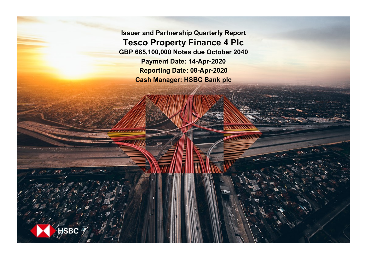**Issuer and Partnership Quarterly Report Tesco Property Finance 4 Plc GBP 685,100,000 Notes due October 2040 Payment Date: 14-Apr-2020 Reporting Date: 08-Apr-2020 Cash Manager: HSBC Bank plc**

**SRC**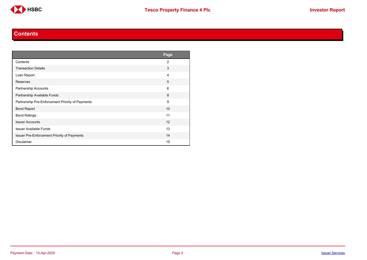

#### **Contents**

<span id="page-1-0"></span>

|                                                  | Page           |
|--------------------------------------------------|----------------|
| Contents                                         | $\overline{2}$ |
| <b>Transaction Details</b>                       | 3              |
| Loan Report                                      | 4              |
| Reserves                                         | 5              |
| <b>Partnership Accounts</b>                      | 6              |
| Partnership Available Funds                      | 8              |
| Partnership Pre-Enforcement Priority of Payments | 9              |
| <b>Bond Report</b>                               | 10             |
| <b>Bond Ratings</b>                              | 11             |
| <b>Issuer Accounts</b>                           | 12             |
| <b>Issuer Available Funds</b>                    | 13             |
| Issuer Pre-Enforcement Priority of Payments      | 14             |
| <b>Disclaimer</b>                                | 15             |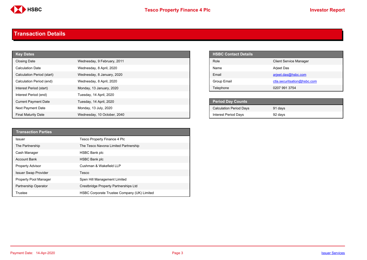

#### <span id="page-2-0"></span>**Transaction Details**

| <b>Key Dates</b>            |                             | <b>HSBC Contact Details</b>    |
|-----------------------------|-----------------------------|--------------------------------|
| <b>Closing Date</b>         | Wednesday, 9 February, 2011 | Role                           |
| <b>Calculation Date</b>     | Wednesday, 8 April, 2020    | Name                           |
| Calculation Period (start)  | Wednesday, 8 January, 2020  | Email                          |
| Calculation Period (end)    | Wednesday, 8 April, 2020    | <b>Group Email</b>             |
| Interest Period (start)     | Monday, 13 January, 2020    | Telephone                      |
| Interest Period (end)       | Tuesday, 14 April, 2020     |                                |
| <b>Current Payment Date</b> | Tuesday, 14 April, 2020     | <b>Period Day Counts</b>       |
| Next Payment Date           | Monday, 13 July, 2020       | <b>Calculation Period Days</b> |
| <b>Final Maturity Date</b>  | Wednesday, 10 October, 2040 | <b>Interest Period Days</b>    |

| <b>HSBC Contact Details</b> |                               |
|-----------------------------|-------------------------------|
| Role                        | <b>Client Service Manager</b> |
| Name                        | <b>Arjeet Das</b>             |
| Fmail                       | arjeet.das@hsbc.com           |
| Group Email                 | ctla.securitsation@hsbc.com   |
| Telephone                   | 0207 991 3754                 |

| Period Day Counts \            |         |  |
|--------------------------------|---------|--|
| <b>Calculation Period Days</b> | 91 days |  |
| <b>Interest Period Days</b>    | 92 days |  |

| <b>Transaction Parties</b>  |                                             |
|-----------------------------|---------------------------------------------|
| <b>Issuer</b>               | <b>Tesco Property Finance 4 Plc</b>         |
| The Partnership             | The Tesco Navona Limited Partnership        |
| Cash Manager                | <b>HSBC Bank plc</b>                        |
| <b>Account Bank</b>         | <b>HSBC Bank plc</b>                        |
| <b>Property Advisor</b>     | Cushman & Wakefield LLP                     |
| <b>Issuer Swap Provider</b> | Tesco                                       |
| Property Pool Manager       | Spen Hill Management Limited                |
| Partnership Operator        | Crestbridge Property Partnerships Ltd       |
| Trustee                     | HSBC Corporate Trustee Company (UK) Limited |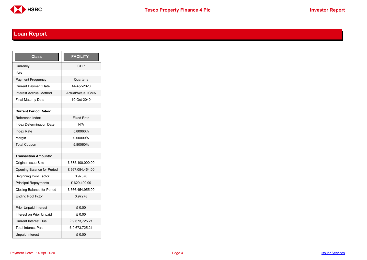

# <span id="page-3-0"></span>**Loan Report**

| <b>Class</b>                      | <b>FACILITY</b>           |
|-----------------------------------|---------------------------|
| Currency                          | GBP                       |
| <b>ISIN</b>                       |                           |
| <b>Payment Frequency</b>          | Quarterly                 |
| <b>Current Payment Date</b>       | 14-Apr-2020               |
| <b>Interest Accrual Method</b>    | <b>Actual/Actual ICMA</b> |
| <b>Final Maturity Date</b>        | 10-Oct-2040               |
|                                   |                           |
| <b>Current Period Rates:</b>      |                           |
| Reference Index                   | <b>Fixed Rate</b>         |
| <b>Index Determination Date</b>   | N/A                       |
| <b>Index Rate</b>                 | 5.80060%                  |
| Margin                            | 0.00000%                  |
| <b>Total Coupon</b>               | 5.80060%                  |
|                                   |                           |
| <b>Transaction Amounts:</b>       |                           |
| <b>Original Issue Size</b>        | £ 685,100,000.00          |
| Opening Balance for Period        | £ 667,084,454.00          |
| <b>Beginning Pool Factor</b>      | 0.97370                   |
| <b>Principal Repayments</b>       | £ 629,499.00              |
| <b>Closing Balance for Period</b> | £666,454,955.00           |
| <b>Ending Pool Fctor</b>          | 0.97278                   |
|                                   |                           |
| <b>Prior Unpaid Interest</b>      | £0.00                     |
| Interest on Prior Unpaid          | £ 0.00                    |
| <b>Current Interest Due</b>       | £9,673,725.21             |
| <b>Total Interest Paid</b>        | £9,673,725.21             |
| <b>Unpaid Interest</b>            | £0.00                     |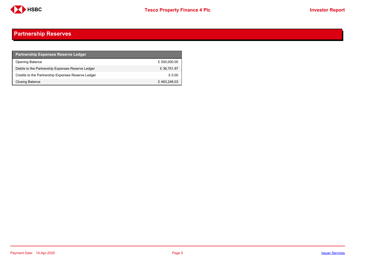

## <span id="page-4-0"></span>**Partnership Reserves**

| <b>Partnership Expenses Reserve Ledger</b>         |              |
|----------------------------------------------------|--------------|
| <b>Opening Balance</b>                             | £ 500,000.00 |
| Debits to the Partnership Expenses Reserve Ledger  | £36.751.97   |
| Credits to the Partnership Expenses Reserve Ledger | £ 0.00       |
| Closing Balance                                    | £463.248.03  |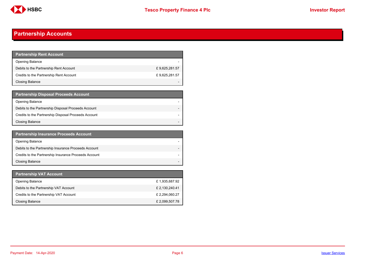

## <span id="page-5-0"></span>**Partnership Accounts**

| <b>Partnership Rent Account</b>         |               |
|-----------------------------------------|---------------|
| <b>Opening Balance</b>                  |               |
| Debits to the Partnership Rent Account  | £9,625,281.57 |
| Credits to the Partnership Rent Account | £9,625,281.57 |
| <b>Closing Balance</b>                  |               |

| <b>Partnership Disposal Proceeds Account</b>         |  |
|------------------------------------------------------|--|
| <b>Opening Balance</b>                               |  |
| Debits to the Partnership Disposal Proceeds Account  |  |
| Credits to the Partnership Disposal Proceeds Account |  |
| <b>Closing Balance</b>                               |  |

| <b>Partnership Insurance Proceeds Account</b>         |  |
|-------------------------------------------------------|--|
| <b>Opening Balance</b>                                |  |
| Debits to the Partnership Insurance Proceeds Account  |  |
| Credits to the Partnership Insurance Proceeds Account |  |
| <b>Closing Balance</b>                                |  |

| Partnership VAT Account                |                |
|----------------------------------------|----------------|
| <b>Opening Balance</b>                 | £1,935,687.92  |
| Debits to the Partnership VAT Account  | £ 2,130,240.41 |
| Credits to the Partnership VAT Account | £2,294,060.27  |
| Closing Balance                        | £ 2,099,507.78 |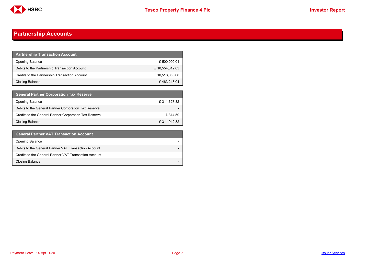

## **Partnership Accounts**

| <b>Partnership Transaction Account</b>         |                |
|------------------------------------------------|----------------|
| <b>Opening Balance</b>                         | £500,000.01    |
| Debits to the Partnership Transaction Account  | £10,554,812.03 |
| Credits to the Partnership Transaction Account | £10,518,060.06 |
| Closing Balance                                | £463,248.04    |

| <b>General Partner Corporation Tax Reserve</b>         |             |
|--------------------------------------------------------|-------------|
| <b>Opening Balance</b>                                 | £311,627.82 |
| Debits to the General Partner Corporation Tax Reserve  |             |
| Credits to the General Partner Corporation Tax Reserve | £314.50     |
| Closing Balance                                        | £311,942.32 |

| <b>General Partner VAT Transaction Account</b>         |                          |
|--------------------------------------------------------|--------------------------|
| <b>Opening Balance</b>                                 |                          |
| Debits to the General Partner VAT Transaction Account  |                          |
| Credits to the General Partner VAT Transaction Account | $\overline{\phantom{0}}$ |
| <b>Closing Balance</b>                                 | -                        |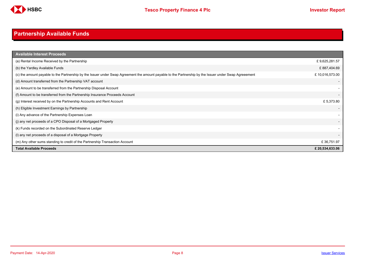

# <span id="page-7-0"></span>**Partnership Available Funds**

| <b>Available Interest Proceeds</b>                                                                                                                     |                 |
|--------------------------------------------------------------------------------------------------------------------------------------------------------|-----------------|
| (a) Rental Income Received by the Partnership                                                                                                          | £9,625,281.57   |
| (b) the Yardley Available Funds                                                                                                                        | £887,404.69     |
| (c) the amount payable to the Partnership by the Issuer under Swap Agreement the amount payable to the Partnership by the Issuer under Swap Agreeement | £10,016,573.00  |
| (d) Amount transferred from the Partnership VAT account                                                                                                |                 |
| (e) Amount to be transferred from the Partnership Disposal Account                                                                                     |                 |
| (f) Amount to be transferred from the Partnership Insurance Proceeds Account                                                                           |                 |
| (g) Interest received by on the Partnership Accounts and Rent Account                                                                                  | £5,373.80       |
| (h) Eligible Investment Earnings by Partnership                                                                                                        |                 |
| (i) Any advance of the Partnership Expenses Loan                                                                                                       |                 |
| (j) any net proceeds of a CPO Disposal of a Mortgaged Property                                                                                         |                 |
| (k) Funds recorded on the Subordinated Reserve Ledger                                                                                                  |                 |
| (I) any net proceeds of a disposal of a Mortgage Property                                                                                              |                 |
| (m) Any other sums standing to credit of the Partnership Transaction Account                                                                           | £36,751.97      |
| <b>Total Available Proceeds</b>                                                                                                                        | £ 20,534,633.06 |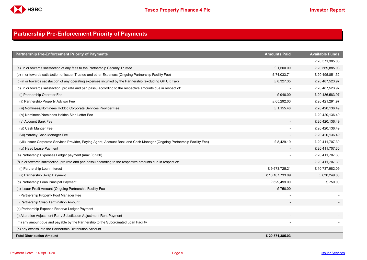

## <span id="page-8-0"></span>**Partnership Pre-Enforcement Priority of Payments**

| <b>Partnership Pre-Enforcement Priority of Payments</b>                                                                   | <b>Amounts Paid</b> | <b>Available Funds</b> |
|---------------------------------------------------------------------------------------------------------------------------|---------------------|------------------------|
|                                                                                                                           |                     | £ 20,571,385.03        |
| (a) in or towards satisfaction of any fees to the Partnership Security Trustee                                            | £1,500.00           | £ 20,569,885.03        |
| (b) in or towards satisfaction of Issuer Trustee and other Expenses (Ongoing Partnership Facility Fee)                    | £74,033.71          | £ 20,495,851.32        |
| (c) in or towards satisfaction of any operating expenses incurred by the Partnership (excluding GP UK Tax)                | £8,327.35           | £ 20,487,523.97        |
| (d) in or towards satisfaction, pro rata and pari passu according to the respective amounts due in respect of:            |                     | £20,487,523.97         |
| (i) Partnership Operator Fee                                                                                              | £940.00             | £ 20,486,583.97        |
| (ii) Partnership Property Advisor Fee                                                                                     | £ 65,292.00         | £ 20,421,291.97        |
| (iii) Nominees/Nominees Holdco Corporate Services Provider Fee                                                            | £1,155.48           | £ 20,420,136.49        |
| (iv) Nominees/Nominees Holdco Side Letter Fee                                                                             |                     | £ 20,420,136.49        |
| (v) Account Bank Fee                                                                                                      |                     | £ 20,420,136.49        |
| (vi) Cash Manger Fee                                                                                                      |                     | £ 20,420,136.49        |
| (vii) Yardley Cash Manager Fee                                                                                            |                     | £ 20,420,136.49        |
| (viii) Issuer Corporate Services Provider, Paying Agent, Account Bank and Cash Manager (Ongoing Partnership Facility Fee) | £8,429.19           | £ 20,411,707.30        |
| (ix) Head Lease Payment                                                                                                   |                     | £ 20,411,707.30        |
| (e) Partnership Expenses Ledger payment (max £6,250)                                                                      |                     | £ 20,411,707.30        |
| (f) in or towards satisfaction, pro rata and pari passu according to the respective amounts due in respect of:            |                     | £ 20,411,707.30        |
| (i) Partnership Loan Interest                                                                                             | £9,673,725.21       | £10,737,982.09         |
| (ii) Partnership Swap Payment                                                                                             | £10,107,733.09      | £ 630,249.00           |
| (g) Partnership Loan Principal Payment                                                                                    | £ 629,499.00        | £750.00                |
| (h) Issuer Profit Amount (Ongoing Partnership Facility Fee                                                                | £750.00             |                        |
| (i) Partnership Property Pool Manager Fee                                                                                 |                     |                        |
| (j) Partnership Swap Termination Amount                                                                                   |                     |                        |
| (k) Partnership Expense Reserve Ledger Payment                                                                            |                     |                        |
| (I) Alteration Adjustment Rent/ Substitution Adjustment Rent Payment                                                      |                     |                        |
| (m) any amount due and payable by the Partnership to the Subordinated Loan Facility                                       |                     |                        |
| (n) any excess into the Partnership Distribution Account                                                                  |                     |                        |
| <b>Total Distribution Amount</b>                                                                                          | £ 20,571,385.03     |                        |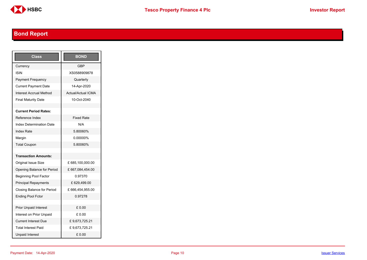

# <span id="page-9-0"></span>**Bond Report**

| Class                             | <b>BOND</b>               |
|-----------------------------------|---------------------------|
| Currency                          | <b>GBP</b>                |
| <b>ISIN</b>                       | XS0588909878              |
| <b>Payment Frequency</b>          | Quarterly                 |
| <b>Current Payment Date</b>       | 14-Apr-2020               |
| <b>Interest Accrual Method</b>    | <b>Actual/Actual ICMA</b> |
| <b>Final Maturity Date</b>        | 10-Oct-2040               |
|                                   |                           |
| <b>Current Period Rates:</b>      |                           |
| Reference Index                   | <b>Fixed Rate</b>         |
| <b>Index Determination Date</b>   | N/A                       |
| <b>Index Rate</b>                 | 5.80060%                  |
| Margin                            | 0.00000%                  |
| <b>Total Coupon</b>               | 5.80060%                  |
|                                   |                           |
| <b>Transaction Amounts:</b>       |                           |
| <b>Original Issue Size</b>        | £685,100,000.00           |
| Opening Balance for Period        | £ 667,084,454.00          |
| <b>Beginning Pool Factor</b>      | 0.97370                   |
| <b>Principal Repayments</b>       | £ 629,499.00              |
| <b>Closing Balance for Period</b> | £666,454,955.00           |
| <b>Ending Pool Fctor</b>          | 0.97278                   |
|                                   |                           |
| <b>Prior Unpaid Interest</b>      | £0.00                     |
| Interest on Prior Unpaid          | £ 0.00                    |
| <b>Current Interest Due</b>       | £9,673,725.21             |
| <b>Total Interest Paid</b>        | £9,673,725.21             |
| <b>Unpaid Interest</b>            | £0.00                     |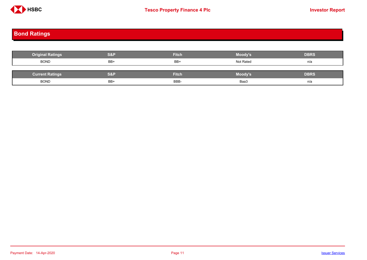

## <span id="page-10-0"></span>**Bond Ratings**

| <b>Original Ratings</b> | <b>S&amp;P</b> | Fitch        | Moody's   | <b>DBRS</b> |
|-------------------------|----------------|--------------|-----------|-------------|
| <b>BOND</b>             | BB+            | BB+          | Not Rated | n/a         |
|                         |                |              |           |             |
| <b>Current Ratings</b>  | S&P            | <b>Fitch</b> | Moody's   | <b>DBRS</b> |
| <b>BOND</b>             | BB+            | BBB-         | Baa3      | n/a         |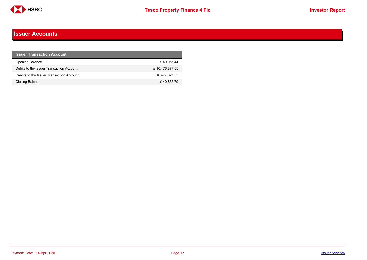

#### <span id="page-11-0"></span>**Issuer Accounts**

| <b>Issuer Transaction Account</b>         |                |
|-------------------------------------------|----------------|
| <b>Opening Balance</b>                    | £40.055.44     |
| Debits to the Issuer Transaction Account  | £10,476,877.55 |
| Credits to the Issuer Transaction Account | £10,477,627.55 |
| <b>Closing Balance</b>                    | £40,835.79     |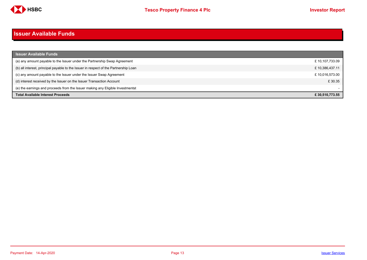

#### <span id="page-12-0"></span>**Issuer Available Funds**

| <b>Issuer Available Funds</b>                                                        |                |
|--------------------------------------------------------------------------------------|----------------|
| (a) any amount payable to the Issuer under the Partnership Swap Agreement            | £10,107,733.09 |
| (b) all interest, principal payable to the Issuer in respect of the Partnership Loan | £10,386,437.11 |
| (c) any amount payable to the Issuer under the Issuer Swap Agreement                 | £10,016,573.00 |
| (d) interest received by the Issuer on the Issuer Transaction Account                | £ 30.35        |
| (e) the earnings and proceeds from the Issuer making any Eligible Investmentst       |                |
| <b>Total Available Interest Proceeds</b>                                             | £30.510.773.55 |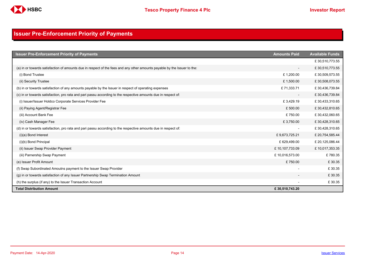

## <span id="page-13-0"></span>**Issuer Pre-Enforcement Priority of Payments**

| <b>Issuer Pre-Enforcement Priority of Payments</b>                                                                       | <b>Amounts Paid</b>      | <b>Available Funds</b> |
|--------------------------------------------------------------------------------------------------------------------------|--------------------------|------------------------|
|                                                                                                                          |                          | £30,510,773.55         |
| (a) in or towards satisfaction of amounts due in respect of the fees and any other amounts payable by the Issuer to the: | $\overline{\phantom{a}}$ | £30,510,773.55         |
| (i) Bond Trustee                                                                                                         | £1,200.00                | £30,509,573.55         |
| (ii) Security Trustee                                                                                                    | £1,500.00                | £30,508,073.55         |
| (b) in or towards satisfaction of any amounts payable by the Issuer in respect of operating expenses                     | £71,333.71               | £30,436,739.84         |
| (c) in or towards satisfaction, pro rata and pari passu according to the respective amounts due in respect of:           | $\overline{\phantom{a}}$ | £30,436,739.84         |
| (i) Issuer/Issuer Holdco Corporate Services Provider Fee                                                                 | £3,429.19                | £30,433,310.65         |
| (ii) Paying Agent/Registrar Fee                                                                                          | £500.00                  | £30,432,810.65         |
| (iii) Account Bank Fee                                                                                                   | £750.00                  | £30,432,060.65         |
| (iv) Cash Manager Fee                                                                                                    | £3,750.00                | £30,428,310.65         |
| (d) in or towards satisfaction, pro rata and pari passu according to the respective amounts due in respect of:           |                          | £30,428,310.65         |
| $(i)(a)$ Bond Interest                                                                                                   | £9,673,725.21            | £ 20,754,585.44        |
| (i)(b) Bond Principal                                                                                                    | £629,499.00              | £ 20,125,086.44        |
| (ii) Issuer Swap Provider Payment                                                                                        | £10,107,733.09           | £10,017,353.35         |
| (iii) Parnership Swap Payment                                                                                            | £10,016,573.00           | £780.35                |
| (e) Issuer Profit Amount                                                                                                 | £750.00                  | £30.35                 |
| (f) Swap Subordinated Amoutns payment to the Issuer Swap Provider                                                        |                          | £30.35                 |
| (g) in or towards satisfaction of any Issuer Partnership Swap Termination Amount                                         |                          | £30.35                 |
| (h) the surplus (if any) to the Issuer Transaction Account                                                               |                          | £30.35                 |
| <b>Total Distribution Amount</b>                                                                                         | £30,510,743.20           |                        |